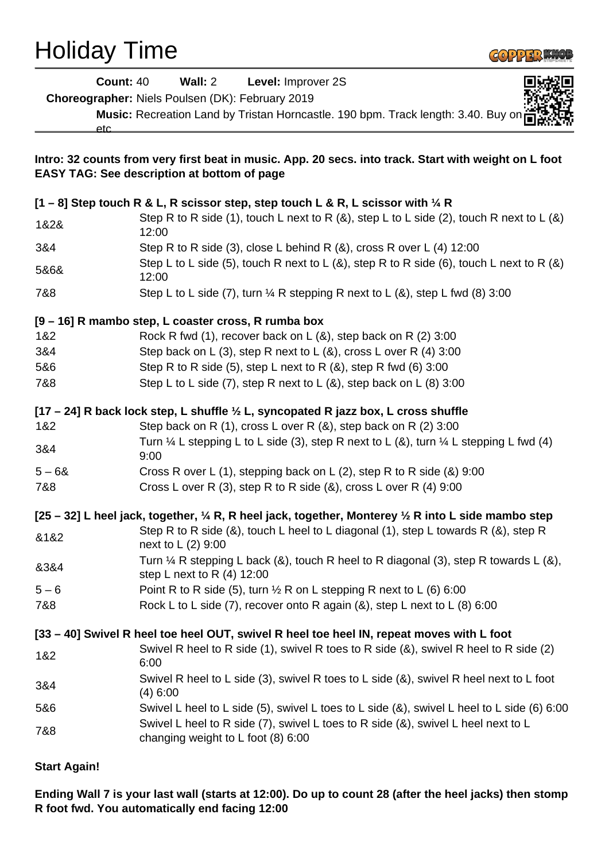## Holiday Time



|          | <b>Count: 40</b><br>Wall: 2<br>Level: Improver 2S                                                                                                           |
|----------|-------------------------------------------------------------------------------------------------------------------------------------------------------------|
|          | Choreographer: Niels Poulsen (DK): February 2019                                                                                                            |
|          | Music: Recreation Land by Tristan Horncastle. 190 bpm. Track length: 3.40. Buy on                                                                           |
|          | etc                                                                                                                                                         |
|          | Intro: 32 counts from very first beat in music. App. 20 secs. into track. Start with weight on L foot<br><b>EASY TAG: See description at bottom of page</b> |
|          |                                                                                                                                                             |
|          | $[1 - 8]$ Step touch R & L, R scissor step, step touch L & R, L scissor with $\frac{1}{4}$ R                                                                |
| 1&2&     | Step R to R side (1), touch L next to R $(8)$ , step L to L side (2), touch R next to L $(8)$<br>12:00                                                      |
| 3&4      | Step R to R side (3), close L behind R $(8)$ , cross R over L $(4)$ 12:00                                                                                   |
| 5&6&     | Step L to L side (5), touch R next to L (&), step R to R side (6), touch L next to R (&)<br>12:00                                                           |
| 7&8      | Step L to L side (7), turn $\frac{1}{4}$ R stepping R next to L (&), step L fwd (8) 3:00                                                                    |
|          | [9 - 16] R mambo step, L coaster cross, R rumba box                                                                                                         |
| 1&2      | Rock R fwd $(1)$ , recover back on L $(8)$ , step back on R $(2)$ 3:00                                                                                      |
| 3&4      | Step back on L (3), step R next to L ( $\&$ ), cross L over R (4) 3:00                                                                                      |
| 5&6      | Step R to R side (5), step L next to R $(8)$ , step R fwd $(6)$ 3:00                                                                                        |
| 7&8      | Step L to L side $(7)$ , step R next to L $(8)$ , step back on L $(8)$ 3:00                                                                                 |
|          | [17 - 24] R back lock step, L shuffle 1/2 L, syncopated R jazz box, L cross shuffle                                                                         |
| 1&2      | Step back on R $(1)$ , cross L over R $(8)$ , step back on R $(2)$ 3:00                                                                                     |
| 3&4      | Turn $\frac{1}{4}$ L stepping L to L side (3), step R next to L (&), turn $\frac{1}{4}$ L stepping L fwd (4)<br>9:00                                        |
| $5 - 68$ | Cross R over L (1), stepping back on L (2), step R to R side (&) 9:00                                                                                       |
| 7&8      | Cross L over R (3), step R to R side (&), cross L over R (4) 9:00                                                                                           |
|          | [25 – 32] L heel jack, together, $\frac{1}{4}$ R, R heel jack, together, Monterey $\frac{1}{2}$ R into L side mambo step                                    |
| &1&2     | Step R to R side (&), touch L heel to L diagonal (1), step L towards R (&), step R<br>next to L (2) 9:00                                                    |
| 8384     | Turn $\frac{1}{4}$ R stepping L back (&), touch R heel to R diagonal (3), step R towards L (&),<br>step L next to R $(4)$ 12:00                             |
| $5 - 6$  | Point R to R side (5), turn $\frac{1}{2}$ R on L stepping R next to L (6) 6:00                                                                              |
| 7&8      | Rock L to L side $(7)$ , recover onto R again $(8)$ , step L next to L $(8)$ 6:00                                                                           |
|          | [33 – 40] Swivel R heel toe heel OUT, swivel R heel toe heel IN, repeat moves with L foot                                                                   |
| 1&2      | Swivel R heel to R side (1), swivel R toes to R side (&), swivel R heel to R side (2)<br>6:00                                                               |
| 3&4      | Swivel R heel to L side (3), swivel R toes to L side (&), swivel R heel next to L foot<br>$(4)$ 6:00                                                        |
| 5&6      | Swivel L heel to L side (5), swivel L toes to L side (&), swivel L heel to L side (6) 6:00                                                                  |
| 7&8      | Swivel L heel to R side (7), swivel L toes to R side $(8)$ , swivel L heel next to L<br>changing weight to L foot (8) 6:00                                  |
|          |                                                                                                                                                             |

**Start Again!**

**Ending Wall 7 is your last wall (starts at 12:00). Do up to count 28 (after the heel jacks) then stomp R foot fwd. You automatically end facing 12:00**